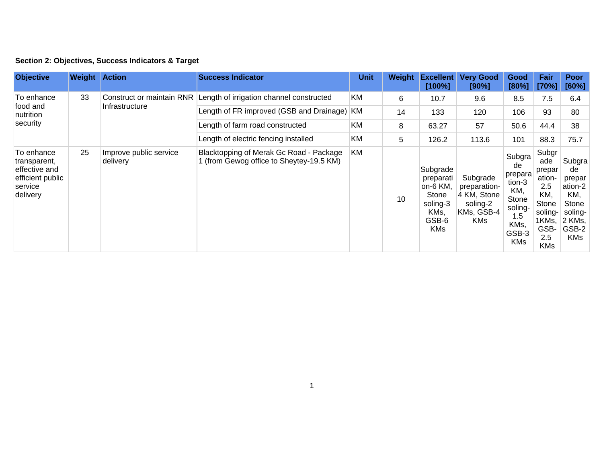| Section 2: Objectives, Success Indicators & Target |  |  |  |  |  |  |
|----------------------------------------------------|--|--|--|--|--|--|
|----------------------------------------------------|--|--|--|--|--|--|

| <b>Objective</b>                                                                       | Weight | <b>Action</b>                               | <b>Success Indicator</b>                                                            | <b>Unit</b> | Weight | <b>Excellent</b><br>[100%]                                                             | <b>Very Good</b><br>[90%]                                                       | Good<br>[80%]                                                                                      | Fair<br>[70%]                                                                                            | Poor<br>[60%]                                                                                 |
|----------------------------------------------------------------------------------------|--------|---------------------------------------------|-------------------------------------------------------------------------------------|-------------|--------|----------------------------------------------------------------------------------------|---------------------------------------------------------------------------------|----------------------------------------------------------------------------------------------------|----------------------------------------------------------------------------------------------------------|-----------------------------------------------------------------------------------------------|
| To enhance<br>food and<br>nutrition<br>security                                        | 33     | Construct or maintain RNR<br>Infrastructure | Length of irrigation channel constructed                                            | KM          | 6      | 10.7                                                                                   | 9.6                                                                             | 8.5                                                                                                | 7.5                                                                                                      | 6.4                                                                                           |
|                                                                                        |        |                                             | Length of FR improved (GSB and Drainage)                                            | KM          | 14     | 133                                                                                    | 120                                                                             | 106                                                                                                | 93                                                                                                       | 80                                                                                            |
|                                                                                        |        |                                             | Length of farm road constructed                                                     | <b>KM</b>   | 8      | 63.27                                                                                  | 57                                                                              | 50.6                                                                                               | 44.4                                                                                                     | 38                                                                                            |
|                                                                                        |        |                                             | Length of electric fencing installed                                                | KM          | 5      | 126.2                                                                                  | 113.6                                                                           | 101                                                                                                | 88.3                                                                                                     | 75.7                                                                                          |
| To enhance<br>transparent,<br>effective and<br>efficient public<br>service<br>delivery | 25     | Improve public service<br>delivery          | Blacktopping of Merak Gc Road - Package<br>1 (from Gewog office to Sheytey-19.5 KM) | <b>KM</b>   | 10     | Subgrade<br>preparati<br>∣on-6 KM,<br>Stone<br>soling-3<br>KMs,<br>GSB-6<br><b>KMs</b> | Subgrade<br>preparation-<br>4 KM, Stone<br>soling-2<br>KMs, GSB-4<br><b>KMs</b> | Subgra<br>de<br>prepara<br>tion-3<br>KM,<br>Stone<br>soling-<br>1.5<br>KMs,<br>GSB-3<br><b>KMs</b> | Subgr<br>ade<br>prepar<br>ation-<br>2.5<br>KM,<br>Stone<br>soling-<br>1KMs,<br>GSB-<br>2.5<br><b>KMs</b> | Subgra<br>de<br>prepar<br>ation-2<br>KM,<br>Stone<br>soling-<br>2 KMs,<br>GSB-2<br><b>KMs</b> |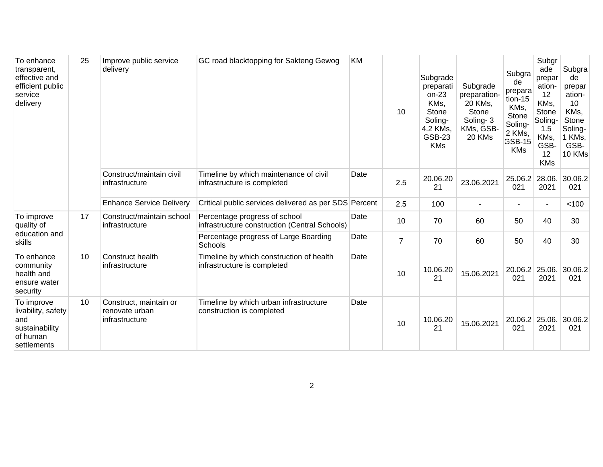| To enhance<br>transparent,<br>effective and<br>efficient public<br>service<br>delivery | 25 | Improve public service<br>delivery                         | GC road blacktopping for Sakteng Gewog                                         | KM   | 10             | Subgrade<br>preparati<br>$on-23$<br>KMs,<br>Stone<br>Soling-<br>4.2 KMs,<br><b>GSB-23</b><br><b>KMs</b> | Subgrade<br>preparation-<br>20 KMs,<br>Stone<br>Soling-3<br>KMs, GSB-<br>20 KMs | Subgra<br>de<br>prepara<br>tion-15<br>KMs,<br>Stone<br>Soling-<br>2 KMs,<br>GSB-15<br><b>KMs</b> | Subgr<br>ade<br>prepar<br>ation-<br>12<br>KMs,<br><b>Stone</b><br>Soling-<br>1.5<br>KMs,<br>GSB-<br>12<br><b>KMs</b> | Subgra<br>de<br>prepar<br>ation-<br>10<br>KMs,<br>Stone<br>Soling-<br>1 KMs,<br>GSB-<br>10 KMs |
|----------------------------------------------------------------------------------------|----|------------------------------------------------------------|--------------------------------------------------------------------------------|------|----------------|---------------------------------------------------------------------------------------------------------|---------------------------------------------------------------------------------|--------------------------------------------------------------------------------------------------|----------------------------------------------------------------------------------------------------------------------|------------------------------------------------------------------------------------------------|
|                                                                                        |    | Construct/maintain civil<br>infrastructure                 | Timeline by which maintenance of civil<br>infrastructure is completed          | Date | 2.5            | 20.06.20<br>21                                                                                          | 23.06.2021                                                                      | 25.06.2<br>021                                                                                   | 28.06.<br>2021                                                                                                       | 30.06.2<br>021                                                                                 |
|                                                                                        |    | <b>Enhance Service Delivery</b>                            | Critical public services delivered as per SDS Percent                          |      | 2.5            | 100                                                                                                     |                                                                                 | $\blacksquare$                                                                                   | $\blacksquare$                                                                                                       | < 100                                                                                          |
| To improve<br>quality of<br>education and<br>skills                                    | 17 | Construct/maintain school<br>infrastructure                | Percentage progress of school<br>infrastructure construction (Central Schools) | Date | 10             | 70                                                                                                      | 60                                                                              | 50                                                                                               | 40                                                                                                                   | 30                                                                                             |
|                                                                                        |    |                                                            | Percentage progress of Large Boarding<br>Schools                               | Date | $\overline{7}$ | 70                                                                                                      | 60                                                                              | 50                                                                                               | 40                                                                                                                   | 30                                                                                             |
| To enhance<br>community<br>health and<br>ensure water<br>security                      | 10 | Construct health<br>infrastructure                         | Timeline by which construction of health<br>infrastructure is completed        | Date | 10             | 10.06.20<br>21                                                                                          | 15.06.2021                                                                      | 20.06.2<br>021                                                                                   | 25.06.<br>2021                                                                                                       | 30.06.2<br>021                                                                                 |
| To improve<br>livability, safety<br>and<br>sustainability<br>of human<br>settlements   | 10 | Construct, maintain or<br>renovate urban<br>infrastructure | Timeline by which urban infrastructure<br>construction is completed            | Date | 10             | 10.06.20<br>21                                                                                          | 15.06.2021                                                                      | 20.06.2 25.06.<br>021                                                                            | 2021                                                                                                                 | 30.06.2<br>021                                                                                 |